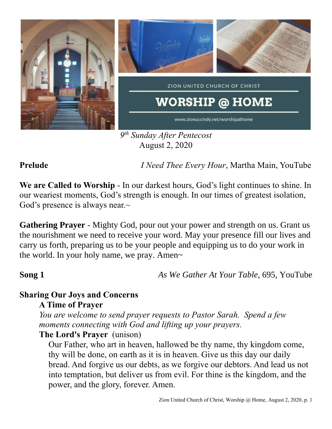

*9 th Sunday After Pentecost* August 2, 2020

**Prelude** *I Need Thee Every Hour*, Martha Main, YouTube

**We are Called to Worship** - In our darkest hours, God's light continues to shine. In our weariest moments, God's strength is enough. In our times of greatest isolation, God's presence is always near. $\sim$ 

**Gathering Prayer** - Mighty God, pour out your power and strength on us. Grant us the nourishment we need to receive your word. May your presence fill our lives and carry us forth, preparing us to be your people and equipping us to do your work in the world. In your holy name, we pray. Amen~

**Song 1** *As We Gather At Your Table,* 695, YouTube

# **Sharing Our Joys and Concerns**

**A Time of Prayer**

*You are welcome to send prayer requests to Pastor Sarah. Spend a few moments connecting with God and lifting up your prayers.*

### **The Lord's Prayer** (unison)

Our Father, who art in heaven, hallowed be thy name, thy kingdom come, thy will be done, on earth as it is in heaven. Give us this day our daily bread. And forgive us our debts, as we forgive our debtors. And lead us not into temptation, but deliver us from evil. For thine is the kingdom, and the power, and the glory, forever. Amen.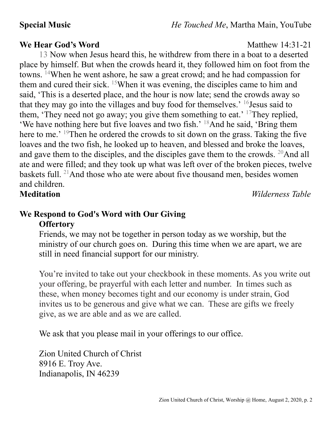**Special Music** *He Touched Me*, Martha Main, YouTube

### **We Hear God's Word** Matthew 14:31-21

13 Now when Jesus heard this, he withdrew from there in a boat to a deserted place by himself. But when the crowds heard it, they followed him on foot from the towns. <sup>14</sup>When he went ashore, he saw a great crowd; and he had compassion for them and cured their sick. <sup>15</sup>When it was evening, the disciples came to him and said, 'This is a deserted place, and the hour is now late; send the crowds away so that they may go into the villages and buy food for themselves.' <sup>16</sup>Jesus said to them, 'They need not go away; you give them something to eat.' <sup>17</sup>They replied, 'We have nothing here but five loaves and two fish.' <sup>18</sup>And he said, 'Bring them here to me.' <sup>19</sup>Then he ordered the crowds to sit down on the grass. Taking the five loaves and the two fish, he looked up to heaven, and blessed and broke the loaves, and gave them to the disciples, and the disciples gave them to the crowds.  $20$ And all ate and were filled; and they took up what was left over of the broken pieces, twelve baskets full. <sup>21</sup>And those who ate were about five thousand men, besides women and children.

**Meditation** *Wilderness Table*

### **We Respond to God's Word with Our Giving Offertory**

Friends, we may not be together in person today as we worship, but the ministry of our church goes on. During this time when we are apart, we are still in need financial support for our ministry.

You're invited to take out your checkbook in these moments. As you write out your offering, be prayerful with each letter and number. In times such as these, when money becomes tight and our economy is under strain, God invites us to be generous and give what we can. These are gifts we freely give, as we are able and as we are called.

We ask that you please mail in your offerings to our office.

Zion United Church of Christ 8916 E. Troy Ave. Indianapolis, IN 46239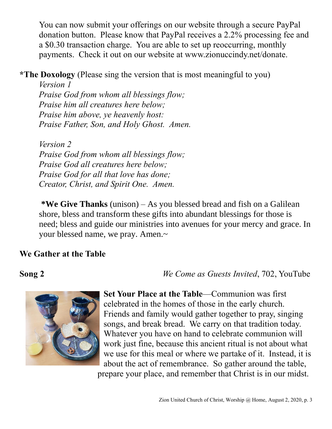You can now submit your offerings on our website through a secure PayPal donation button. Please know that PayPal receives a 2.2% processing fee and a \$0.30 transaction charge. You are able to set up reoccurring, monthly payments. Check it out on our website at www.zionuccindy.net/donate.

**\*The Doxology** (Please sing the version that is most meaningful to you)

*Version 1 Praise God from whom all blessings flow; Praise him all creatures here below; Praise him above, ye heavenly host: Praise Father, Son, and Holy Ghost. Amen.*

*Version 2 Praise God from whom all blessings flow; Praise God all creatures here below; Praise God for all that love has done; Creator, Christ, and Spirit One. Amen.* 

**\*We Give Thanks** (unison) – As you blessed bread and fish on a Galilean shore, bless and transform these gifts into abundant blessings for those is need; bless and guide our ministries into avenues for your mercy and grace. In your blessed name, we pray. Amen.~

## **We Gather at the Table**

**Song 2** *We Come as Guests Invited*, 702, YouTube



**Set Your Place at the Table**—Communion was first celebrated in the homes of those in the early church. Friends and family would gather together to pray, singing songs, and break bread. We carry on that tradition today. Whatever you have on hand to celebrate communion will work just fine, because this ancient ritual is not about what we use for this meal or where we partake of it. Instead, it is about the act of remembrance. So gather around the table, prepare your place, and remember that Christ is in our midst.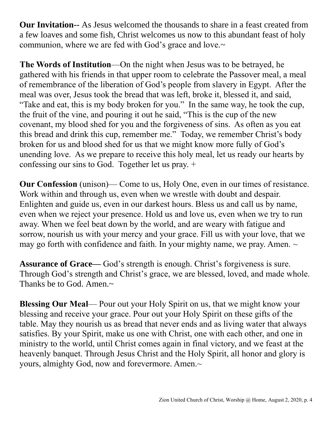**Our Invitation--** As Jesus welcomed the thousands to share in a feast created from a few loaves and some fish, Christ welcomes us now to this abundant feast of holy communion, where we are fed with God's grace and love.~

**The Words of Institution**—On the night when Jesus was to be betrayed, he gathered with his friends in that upper room to celebrate the Passover meal, a meal of remembrance of the liberation of God's people from slavery in Egypt. After the meal was over, Jesus took the bread that was left, broke it, blessed it, and said, "Take and eat, this is my body broken for you." In the same way, he took the cup, the fruit of the vine, and pouring it out he said, "This is the cup of the new covenant, my blood shed for you and the forgiveness of sins. As often as you eat this bread and drink this cup, remember me." Today, we remember Christ's body broken for us and blood shed for us that we might know more fully of God's unending love. As we prepare to receive this holy meal, let us ready our hearts by confessing our sins to God. Together let us pray. +

**Our Confession** (unison)— Come to us, Holy One, even in our times of resistance. Work within and through us, even when we wrestle with doubt and despair. Enlighten and guide us, even in our darkest hours. Bless us and call us by name, even when we reject your presence. Hold us and love us, even when we try to run away. When we feel beat down by the world, and are weary with fatigue and sorrow, nourish us with your mercy and your grace. Fill us with your love, that we may go forth with confidence and faith. In your mighty name, we pray. Amen.  $\sim$ 

**Assurance of Grace—** God's strength is enough. Christ's forgiveness is sure. Through God's strength and Christ's grace, we are blessed, loved, and made whole. Thanks be to God. Amen.~

**Blessing Our Meal—** Pour out your Holy Spirit on us, that we might know your blessing and receive your grace. Pour out your Holy Spirit on these gifts of the table. May they nourish us as bread that never ends and as living water that always satisfies. By your Spirit, make us one with Christ, one with each other, and one in ministry to the world, until Christ comes again in final victory, and we feast at the heavenly banquet. Through Jesus Christ and the Holy Spirit, all honor and glory is yours, almighty God, now and forevermore. Amen.~